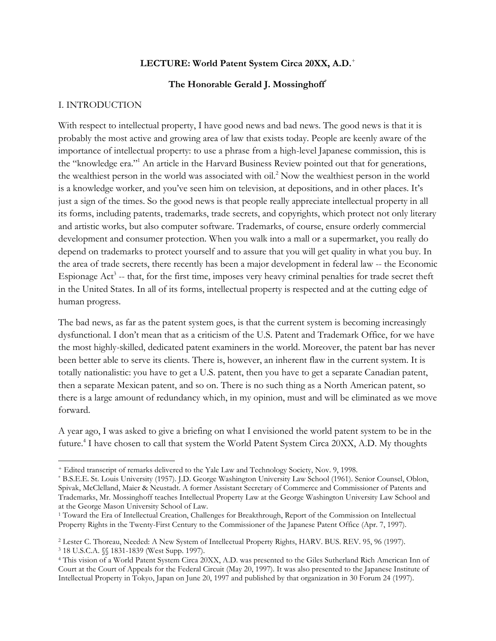#### **LECTURE: World Patent System Circa 20XX, A.D.**<sup>+</sup>

#### **The Honorable Gerald J. Mossinghoff**\*

#### I. INTRODUCTION

With respect to intellectual property, I have good news and bad news. The good news is that it is probably the most active and growing area of law that exists today. People are keenly aware of the importance of intellectual property: to use a phrase from a high-level Japanese commission, this is the "knowledge era." <sup>1</sup> An article in the Harvard Business Review pointed out that for generations, the wealthiest person in the world was associated with oil.<sup>2</sup> Now the wealthiest person in the world is a knowledge worker, and you've seen him on television, at depositions, and in other places. It's just a sign of the times. So the good news is that people really appreciate intellectual property in all its forms, including patents, trademarks, trade secrets, and copyrights, which protect not only literary and artistic works, but also computer software. Trademarks, of course, ensure orderly commercial development and consumer protection. When you walk into a mall or a supermarket, you really do depend on trademarks to protect yourself and to assure that you will get quality in what you buy. In the area of trade secrets, there recently has been a major development in federal law -- the Economic Espionage Act<sup>3</sup> -- that, for the first time, imposes very heavy criminal penalties for trade secret theft in the United States. In all of its forms, intellectual property is respected and at the cutting edge of human progress.

The bad news, as far as the patent system goes, is that the current system is becoming increasingly dysfunctional. I don't mean that as a criticism of the U.S. Patent and Trademark Office, for we have the most highly-skilled, dedicated patent examiners in the world. Moreover, the patent bar has never been better able to serve its clients. There is, however, an inherent flaw in the current system. It is totally nationalistic: you have to get a U.S. patent, then you have to get a separate Canadian patent, then a separate Mexican patent, and so on. There is no such thing as a North American patent, so there is a large amount of redundancy which, in my opinion, must and will be eliminated as we move forward.

A year ago, I was asked to give a briefing on what I envisioned the world patent system to be in the future.<sup>4</sup> I have chosen to call that system the World Patent System Circa 20XX, A.D. My thoughts

 $\overline{\phantom{a}}$ <sup>+</sup> Edited transcript of remarks delivered to the Yale Law and Technology Society, Nov. 9, 1998.

<sup>\*</sup> B.S.E.E. St. Louis University (1957). J.D. George Washington University Law School (1961). Senior Counsel, Oblon, Spivak, McClelland, Maier & Neustadt. A former Assistant Secretary of Commerce and Commissioner of Patents and Trademarks, Mr. Mossinghoff teaches Intellectual Property Law at the George Washington University Law School and at the George Mason University School of Law.

<sup>1</sup> Toward the Era of Intellectual Creation, Challenges for Breakthrough, Report of the Commission on Intellectual Property Rights in the Twenty-First Century to the Commissioner of the Japanese Patent Office (Apr. 7, 1997).

<sup>2</sup> Lester C. Thoreau, Needed: A New System of Intellectual Property Rights, HARV. BUS. REV. 95, 96 (1997). <sup>3</sup> 18 U.S.C.A. §§ 1831-1839 (West Supp. 1997).

<sup>4</sup> This vision of a World Patent System Circa 20XX, A.D. was presented to the Giles Sutherland Rich American Inn of Court at the Court of Appeals for the Federal Circuit (May 20, 1997). It was also presented to the Japanese Institute of Intellectual Property in Tokyo, Japan on June 20, 1997 and published by that organization in 30 Forum 24 (1997).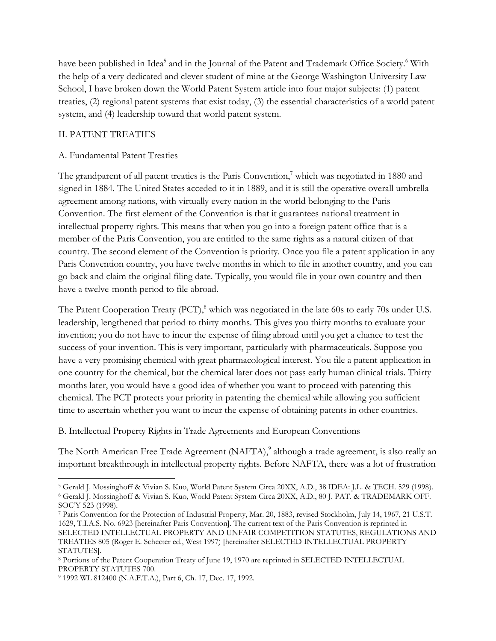have been published in Idea<sup>5</sup> and in the Journal of the Patent and Trademark Office Society.<sup>6</sup> With the help of a very dedicated and clever student of mine at the George Washington University Law School, I have broken down the World Patent System article into four major subjects: (1) patent treaties, (2) regional patent systems that exist today, (3) the essential characteristics of a world patent system, and (4) leadership toward that world patent system.

## II. PATENT TREATIES

l

### A. Fundamental Patent Treaties

The grandparent of all patent treaties is the Paris Convention, $\alpha$  which was negotiated in 1880 and signed in 1884. The United States acceded to it in 1889, and it is still the operative overall umbrella agreement among nations, with virtually every nation in the world belonging to the Paris Convention. The first element of the Convention is that it guarantees national treatment in intellectual property rights. This means that when you go into a foreign patent office that is a member of the Paris Convention, you are entitled to the same rights as a natural citizen of that country. The second element of the Convention is priority. Once you file a patent application in any Paris Convention country, you have twelve months in which to file in another country, and you can go back and claim the original filing date. Typically, you would file in your own country and then have a twelve-month period to file abroad.

The Patent Cooperation Treaty (PCT),<sup>8</sup> which was negotiated in the late 60s to early 70s under U.S. leadership, lengthened that period to thirty months. This gives you thirty months to evaluate your invention; you do not have to incur the expense of filing abroad until you get a chance to test the success of your invention. This is very important, particularly with pharmaceuticals. Suppose you have a very promising chemical with great pharmacological interest. You file a patent application in one country for the chemical, but the chemical later does not pass early human clinical trials. Thirty months later, you would have a good idea of whether you want to proceed with patenting this chemical. The PCT protects your priority in patenting the chemical while allowing you sufficient time to ascertain whether you want to incur the expense of obtaining patents in other countries.

B. Intellectual Property Rights in Trade Agreements and European Conventions

The North American Free Trade Agreement (NAFTA),<sup>9</sup> although a trade agreement, is also really an important breakthrough in intellectual property rights. Before NAFTA, there was a lot of frustration

<sup>5</sup> Gerald J. Mossinghoff & Vivian S. Kuo, World Patent System Circa 20XX, A.D., 38 IDEA: J.L. & TECH. 529 (1998). <sup>6</sup> Gerald J. Mossinghoff & Vivian S. Kuo, World Patent System Circa 20XX, A.D., 80 J. PAT. & TRADEMARK OFF. SOC'Y 523 (1998).

<sup>7</sup> Paris Convention for the Protection of Industrial Property, Mar. 20, 1883, revised Stockholm, July 14, 1967, 21 U.S.T. 1629, T.I.A.S. No. 6923 [hereinafter Paris Convention]. The current text of the Paris Convention is reprinted in SELECTED INTELLECTUAL PROPERTY AND UNFAIR COMPETITION STATUTES, REGULATIONS AND TREATIES 805 (Roger E. Schecter ed., West 1997) [hereinafter SELECTED INTELLECTUAL PROPERTY STATUTES].

<sup>8</sup> Portions of the Patent Cooperation Treaty of June 19, 1970 are reprinted in SELECTED INTELLECTUAL PROPERTY STATUTES 700.

<sup>9</sup> 1992 WL 812400 (N.A.F.T.A.), Part 6, Ch. 17, Dec. 17, 1992.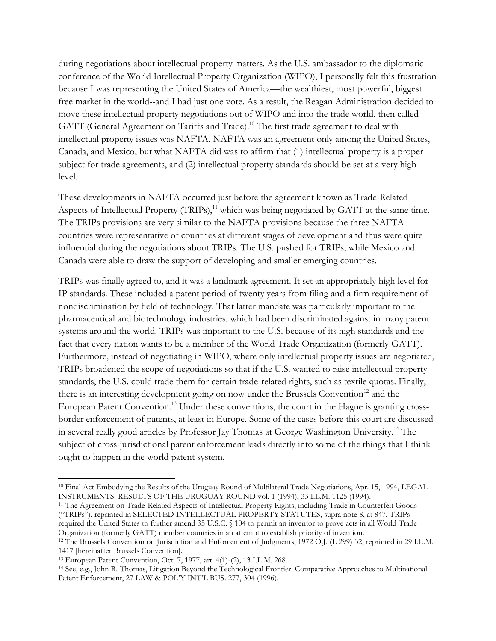during negotiations about intellectual property matters. As the U.S. ambassador to the diplomatic conference of the World Intellectual Property Organization (WIPO), I personally felt this frustration because I was representing the United States of America—the wealthiest, most powerful, biggest free market in the world--and I had just one vote. As a result, the Reagan Administration decided to move these intellectual property negotiations out of WIPO and into the trade world, then called GATT (General Agreement on Tariffs and Trade). <sup>10</sup> The first trade agreement to deal with intellectual property issues was NAFTA. NAFTA was an agreement only among the United States, Canada, and Mexico, but what NAFTA did was to affirm that (1) intellectual property is a proper subject for trade agreements, and (2) intellectual property standards should be set at a very high level.

These developments in NAFTA occurred just before the agreement known as Trade-Related Aspects of Intellectual Property  $(TRIPs)$ ,<sup>11</sup> which was being negotiated by GATT at the same time. The TRIPs provisions are very similar to the NAFTA provisions because the three NAFTA countries were representative of countries at different stages of development and thus were quite influential during the negotiations about TRIPs. The U.S. pushed for TRIPs, while Mexico and Canada were able to draw the support of developing and smaller emerging countries.

TRIPs was finally agreed to, and it was a landmark agreement. It set an appropriately high level for IP standards. These included a patent period of twenty years from filing and a firm requirement of nondiscrimination by field of technology. That latter mandate was particularly important to the pharmaceutical and biotechnology industries, which had been discriminated against in many patent systems around the world. TRIPs was important to the U.S. because of its high standards and the fact that every nation wants to be a member of the World Trade Organization (formerly GATT). Furthermore, instead of negotiating in WIPO, where only intellectual property issues are negotiated, TRIPs broadened the scope of negotiations so that if the U.S. wanted to raise intellectual property standards, the U.S. could trade them for certain trade-related rights, such as textile quotas. Finally, there is an interesting development going on now under the Brussels Convention $12$  and the European Patent Convention.<sup>13</sup> Under these conventions, the court in the Hague is granting crossborder enforcement of patents, at least in Europe. Some of the cases before this court are discussed in several really good articles by Professor Jay Thomas at George Washington University.<sup>14</sup> The subject of cross-jurisdictional patent enforcement leads directly into some of the things that I think ought to happen in the world patent system.

l

<sup>10</sup> Final Act Embodying the Results of the Uruguay Round of Multilateral Trade Negotiations, Apr. 15, 1994, LEGAL INSTRUMENTS: RESULTS OF THE URUGUAY ROUND vol. 1 (1994), 33 I.L.M. 1125 (1994).

<sup>11</sup> The Agreement on Trade-Related Aspects of Intellectual Property Rights, including Trade in Counterfeit Goods ("TRIPs"), reprinted in SELECTED INTELLECTUAL PROPERTY STATUTES, supra note 8, at 847. TRIPs required the United States to further amend 35 U.S.C. § 104 to permit an inventor to prove acts in all World Trade Organization (formerly GATT) member countries in an attempt to establish priority of invention.

<sup>&</sup>lt;sup>12</sup> The Brussels Convention on Jurisdiction and Enforcement of Judgments, 1972 O.J. (L 299) 32, reprinted in 29 I.L.M. 1417 [hereinafter Brussels Convention].

<sup>13</sup> European Patent Convention, Oct. 7, 1977, art. 4(1)-(2), 13 I.L.M. 268.

<sup>14</sup> See, e.g., John R. Thomas, Litigation Beyond the Technological Frontier: Comparative Approaches to Multinational Patent Enforcement, 27 LAW & POL'Y INT'L BUS. 277, 304 (1996).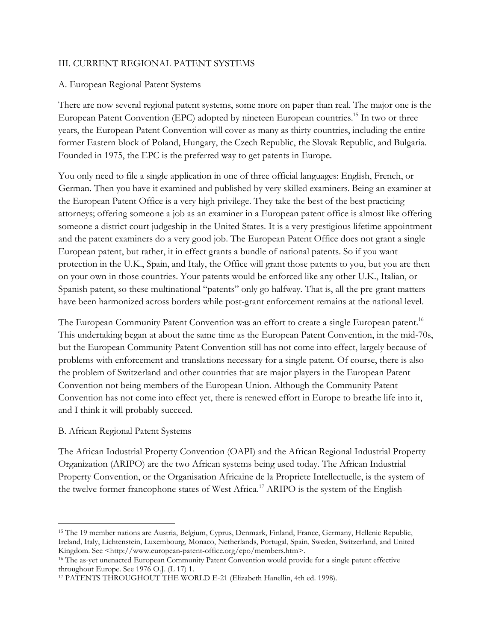#### III. CURRENT REGIONAL PATENT SYSTEMS

#### A. European Regional Patent Systems

There are now several regional patent systems, some more on paper than real. The major one is the European Patent Convention (EPC) adopted by nineteen European countries.<sup>15</sup> In two or three years, the European Patent Convention will cover as many as thirty countries, including the entire former Eastern block of Poland, Hungary, the Czech Republic, the Slovak Republic, and Bulgaria. Founded in 1975, the EPC is the preferred way to get patents in Europe.

You only need to file a single application in one of three official languages: English, French, or German. Then you have it examined and published by very skilled examiners. Being an examiner at the European Patent Office is a very high privilege. They take the best of the best practicing attorneys; offering someone a job as an examiner in a European patent office is almost like offering someone a district court judgeship in the United States. It is a very prestigious lifetime appointment and the patent examiners do a very good job. The European Patent Office does not grant a single European patent, but rather, it in effect grants a bundle of national patents. So if you want protection in the U.K., Spain, and Italy, the Office will grant those patents to you, but you are then on your own in those countries. Your patents would be enforced like any other U.K., Italian, or Spanish patent, so these multinational "patents" only go halfway. That is, all the pre-grant matters have been harmonized across borders while post-grant enforcement remains at the national level.

The European Community Patent Convention was an effort to create a single European patent.<sup>16</sup> This undertaking began at about the same time as the European Patent Convention, in the mid-70s, but the European Community Patent Convention still has not come into effect, largely because of problems with enforcement and translations necessary for a single patent. Of course, there is also the problem of Switzerland and other countries that are major players in the European Patent Convention not being members of the European Union. Although the Community Patent Convention has not come into effect yet, there is renewed effort in Europe to breathe life into it, and I think it will probably succeed.

#### B. African Regional Patent Systems

 $\overline{\phantom{a}}$ 

The African Industrial Property Convention (OAPI) and the African Regional Industrial Property Organization (ARIPO) are the two African systems being used today. The African Industrial Property Convention, or the Organisation Africaine de la Propriete Intellectuelle, is the system of the twelve former francophone states of West Africa.<sup>17</sup> ARIPO is the system of the English-

<sup>15</sup> The 19 member nations are Austria, Belgium, Cyprus, Denmark, Finland, France, Germany, Hellenic Republic, Ireland, Italy, Lichtenstein, Luxembourg, Monaco, Netherlands, Portugal, Spain, Sweden, Switzerland, and United Kingdom. See <http://www.european-patent-office.org/epo/members.htm>.

<sup>16</sup> The as-yet unenacted European Community Patent Convention would provide for a single patent effective throughout Europe. See 1976 O.J. (L 17) 1.

<sup>17</sup> PATENTS THROUGHOUT THE WORLD E-21 (Elizabeth Hanellin, 4th ed. 1998).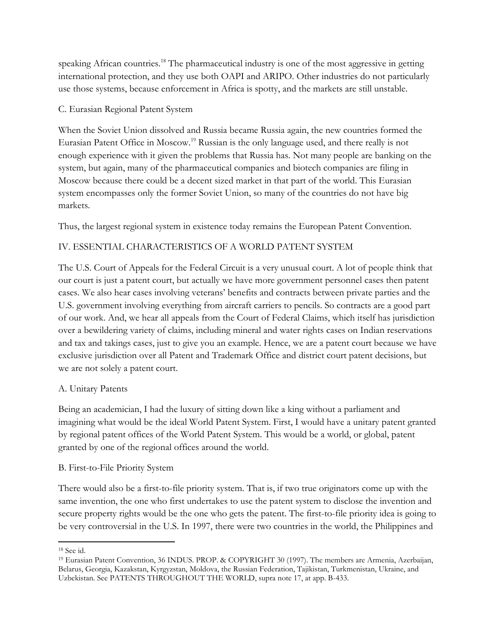speaking African countries.<sup>18</sup> The pharmaceutical industry is one of the most aggressive in getting international protection, and they use both OAPI and ARIPO. Other industries do not particularly use those systems, because enforcement in Africa is spotty, and the markets are still unstable.

## C. Eurasian Regional Patent System

When the Soviet Union dissolved and Russia became Russia again, the new countries formed the Eurasian Patent Office in Moscow.<sup>19</sup> Russian is the only language used, and there really is not enough experience with it given the problems that Russia has. Not many people are banking on the system, but again, many of the pharmaceutical companies and biotech companies are filing in Moscow because there could be a decent sized market in that part of the world. This Eurasian system encompasses only the former Soviet Union, so many of the countries do not have big markets.

Thus, the largest regional system in existence today remains the European Patent Convention.

# IV. ESSENTIAL CHARACTERISTICS OF A WORLD PATENT SYSTEM

The U.S. Court of Appeals for the Federal Circuit is a very unusual court. A lot of people think that our court is just a patent court, but actually we have more government personnel cases then patent cases. We also hear cases involving veterans' benefits and contracts between private parties and the U.S. government involving everything from aircraft carriers to pencils. So contracts are a good part of our work. And, we hear all appeals from the Court of Federal Claims, which itself has jurisdiction over a bewildering variety of claims, including mineral and water rights cases on Indian reservations and tax and takings cases, just to give you an example. Hence, we are a patent court because we have exclusive jurisdiction over all Patent and Trademark Office and district court patent decisions, but we are not solely a patent court.

### A. Unitary Patents

Being an academician, I had the luxury of sitting down like a king without a parliament and imagining what would be the ideal World Patent System. First, I would have a unitary patent granted by regional patent offices of the World Patent System. This would be a world, or global, patent granted by one of the regional offices around the world.

## B. First-to-File Priority System

There would also be a first-to-file priority system. That is, if two true originators come up with the same invention, the one who first undertakes to use the patent system to disclose the invention and secure property rights would be the one who gets the patent. The first-to-file priority idea is going to be very controversial in the U.S. In 1997, there were two countries in the world, the Philippines and

l

<sup>18</sup> See id.

<sup>19</sup> Eurasian Patent Convention, 36 INDUS. PROP. & COPYRIGHT 30 (1997). The members are Armenia, Azerbaijan, Belarus, Georgia, Kazakstan, Kyrgyzstan, Moldova, the Russian Federation, Tajikistan, Turkmenistan, Ukraine, and Uzbekistan. See PATENTS THROUGHOUT THE WORLD, supra note 17, at app. B-433.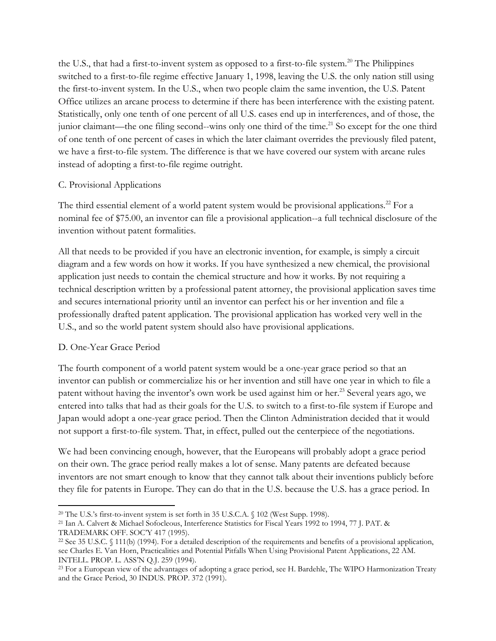the U.S., that had a first-to-invent system as opposed to a first-to-file system. <sup>20</sup> The Philippines switched to a first-to-file regime effective January 1, 1998, leaving the U.S. the only nation still using the first-to-invent system. In the U.S., when two people claim the same invention, the U.S. Patent Office utilizes an arcane process to determine if there has been interference with the existing patent. Statistically, only one tenth of one percent of all U.S. cases end up in interferences, and of those, the junior claimant—the one filing second--wins only one third of the time.<sup>21</sup> So except for the one third of one tenth of one percent of cases in which the later claimant overrides the previously filed patent, we have a first-to-file system. The difference is that we have covered our system with arcane rules instead of adopting a first-to-file regime outright.

## C. Provisional Applications

The third essential element of a world patent system would be provisional applications.<sup>22</sup> For a nominal fee of \$75.00, an inventor can file a provisional application--a full technical disclosure of the invention without patent formalities.

All that needs to be provided if you have an electronic invention, for example, is simply a circuit diagram and a few words on how it works. If you have synthesized a new chemical, the provisional application just needs to contain the chemical structure and how it works. By not requiring a technical description written by a professional patent attorney, the provisional application saves time and secures international priority until an inventor can perfect his or her invention and file a professionally drafted patent application. The provisional application has worked very well in the U.S., and so the world patent system should also have provisional applications.

# D. One-Year Grace Period

The fourth component of a world patent system would be a one-year grace period so that an inventor can publish or commercialize his or her invention and still have one year in which to file a patent without having the inventor's own work be used against him or her.<sup>23</sup> Several years ago, we entered into talks that had as their goals for the U.S. to switch to a first-to-file system if Europe and Japan would adopt a one-year grace period. Then the Clinton Administration decided that it would not support a first-to-file system. That, in effect, pulled out the centerpiece of the negotiations.

We had been convincing enough, however, that the Europeans will probably adopt a grace period on their own. The grace period really makes a lot of sense. Many patents are defeated because inventors are not smart enough to know that they cannot talk about their inventions publicly before they file for patents in Europe. They can do that in the U.S. because the U.S. has a grace period. In

l <sup>20</sup> The U.S.'s first-to-invent system is set forth in 35 U.S.C.A. § 102 (West Supp. 1998).

<sup>21</sup> Ian A. Calvert & Michael Sofocleous, Interference Statistics for Fiscal Years 1992 to 1994, 77 J. PAT. & TRADEMARK OFF. SOC'Y 417 (1995).

<sup>22</sup> See 35 U.S.C. § 111(b) (1994). For a detailed description of the requirements and benefits of a provisional application, see Charles E. Van Horn, Practicalities and Potential Pitfalls When Using Provisional Patent Applications, 22 AM. INTELL. PROP. L. ASS'N Q.J. 259 (1994).

<sup>&</sup>lt;sup>23</sup> For a European view of the advantages of adopting a grace period, see H. Bardehle, The WIPO Harmonization Treaty and the Grace Period, 30 INDUS. PROP. 372 (1991).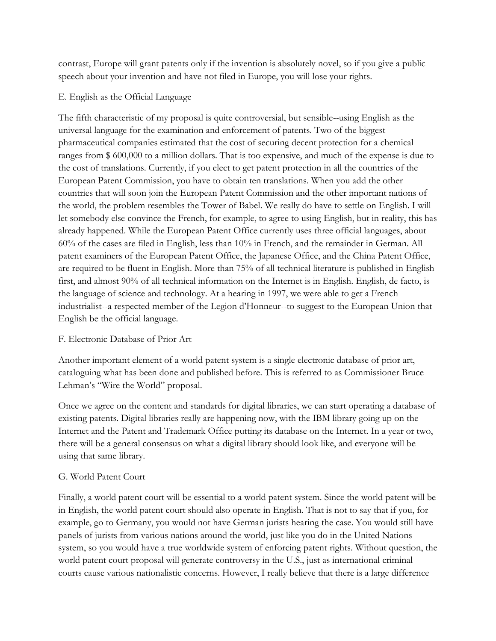contrast, Europe will grant patents only if the invention is absolutely novel, so if you give a public speech about your invention and have not filed in Europe, you will lose your rights.

## E. English as the Official Language

The fifth characteristic of my proposal is quite controversial, but sensible--using English as the universal language for the examination and enforcement of patents. Two of the biggest pharmaceutical companies estimated that the cost of securing decent protection for a chemical ranges from \$ 600,000 to a million dollars. That is too expensive, and much of the expense is due to the cost of translations. Currently, if you elect to get patent protection in all the countries of the European Patent Commission, you have to obtain ten translations. When you add the other countries that will soon join the European Patent Commission and the other important nations of the world, the problem resembles the Tower of Babel. We really do have to settle on English. I will let somebody else convince the French, for example, to agree to using English, but in reality, this has already happened. While the European Patent Office currently uses three official languages, about 60% of the cases are filed in English, less than 10% in French, and the remainder in German. All patent examiners of the European Patent Office, the Japanese Office, and the China Patent Office, are required to be fluent in English. More than 75% of all technical literature is published in English first, and almost 90% of all technical information on the Internet is in English. English, de facto, is the language of science and technology. At a hearing in 1997, we were able to get a French industrialist--a respected member of the Legion d'Honneur--to suggest to the European Union that English be the official language.

## F. Electronic Database of Prior Art

Another important element of a world patent system is a single electronic database of prior art, cataloguing what has been done and published before. This is referred to as Commissioner Bruce Lehman's "Wire the World" proposal.

Once we agree on the content and standards for digital libraries, we can start operating a database of existing patents. Digital libraries really are happening now, with the IBM library going up on the Internet and the Patent and Trademark Office putting its database on the Internet. In a year or two, there will be a general consensus on what a digital library should look like, and everyone will be using that same library.

# G. World Patent Court

Finally, a world patent court will be essential to a world patent system. Since the world patent will be in English, the world patent court should also operate in English. That is not to say that if you, for example, go to Germany, you would not have German jurists hearing the case. You would still have panels of jurists from various nations around the world, just like you do in the United Nations system, so you would have a true worldwide system of enforcing patent rights. Without question, the world patent court proposal will generate controversy in the U.S., just as international criminal courts cause various nationalistic concerns. However, I really believe that there is a large difference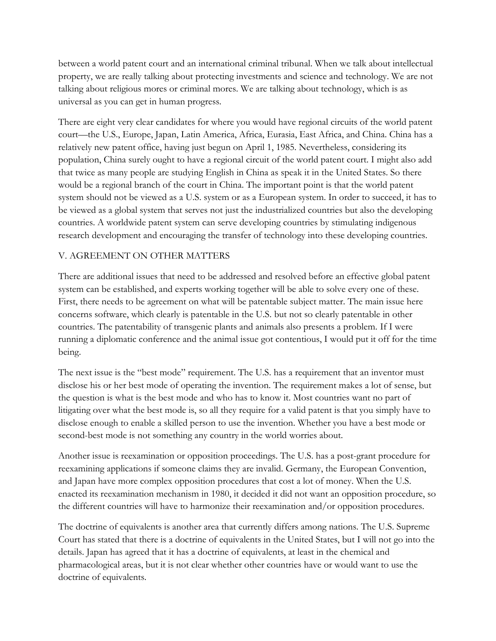between a world patent court and an international criminal tribunal. When we talk about intellectual property, we are really talking about protecting investments and science and technology. We are not talking about religious mores or criminal mores. We are talking about technology, which is as universal as you can get in human progress.

There are eight very clear candidates for where you would have regional circuits of the world patent court—the U.S., Europe, Japan, Latin America, Africa, Eurasia, East Africa, and China. China has a relatively new patent office, having just begun on April 1, 1985. Nevertheless, considering its population, China surely ought to have a regional circuit of the world patent court. I might also add that twice as many people are studying English in China as speak it in the United States. So there would be a regional branch of the court in China. The important point is that the world patent system should not be viewed as a U.S. system or as a European system. In order to succeed, it has to be viewed as a global system that serves not just the industrialized countries but also the developing countries. A worldwide patent system can serve developing countries by stimulating indigenous research development and encouraging the transfer of technology into these developing countries.

## V. AGREEMENT ON OTHER MATTERS

There are additional issues that need to be addressed and resolved before an effective global patent system can be established, and experts working together will be able to solve every one of these. First, there needs to be agreement on what will be patentable subject matter. The main issue here concerns software, which clearly is patentable in the U.S. but not so clearly patentable in other countries. The patentability of transgenic plants and animals also presents a problem. If I were running a diplomatic conference and the animal issue got contentious, I would put it off for the time being.

The next issue is the "best mode" requirement. The U.S. has a requirement that an inventor must disclose his or her best mode of operating the invention. The requirement makes a lot of sense, but the question is what is the best mode and who has to know it. Most countries want no part of litigating over what the best mode is, so all they require for a valid patent is that you simply have to disclose enough to enable a skilled person to use the invention. Whether you have a best mode or second-best mode is not something any country in the world worries about.

Another issue is reexamination or opposition proceedings. The U.S. has a post-grant procedure for reexamining applications if someone claims they are invalid. Germany, the European Convention, and Japan have more complex opposition procedures that cost a lot of money. When the U.S. enacted its reexamination mechanism in 1980, it decided it did not want an opposition procedure, so the different countries will have to harmonize their reexamination and/or opposition procedures.

The doctrine of equivalents is another area that currently differs among nations. The U.S. Supreme Court has stated that there is a doctrine of equivalents in the United States, but I will not go into the details. Japan has agreed that it has a doctrine of equivalents, at least in the chemical and pharmacological areas, but it is not clear whether other countries have or would want to use the doctrine of equivalents.